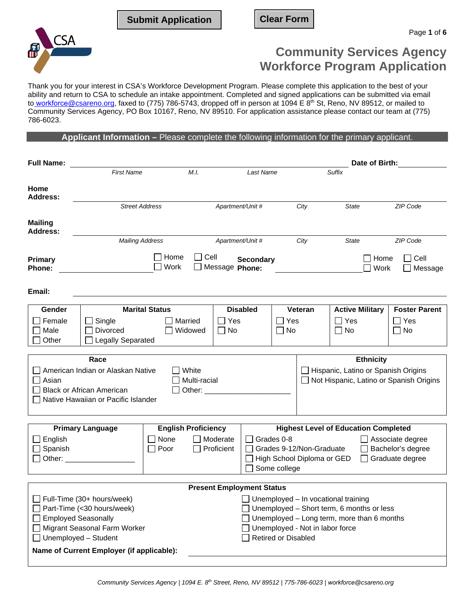**Submit Application Clear Form**



# **Community Services Agency Workforce Program Application**

Thank you for your interest in CSA's Workforce Development Program. Please complete this application to the best of your ability and return to CSA to schedule an intake appointment. Completed and signed applications can be submitted via email to<u> workforce@csareno.or</u>g, faxed to (775) 786-5743, dropped off in person at 1094 E 8<sup>th</sup> St, Reno, NV 89512, or mailed to Community Services Agency, PO Box 10167, Reno, NV 89510. For application assistance please contact our team at (775) 786-6023.

**Applicant Information –** Please complete the following information for the primary applicant.

| <b>Full Name:</b>                                                                                                                                                                           |                                                                                                              |                       |                                        |                            |                                                                                                                                                                  |                            |                                 | Date of Birth:                                                                                                                 |                                         |
|---------------------------------------------------------------------------------------------------------------------------------------------------------------------------------------------|--------------------------------------------------------------------------------------------------------------|-----------------------|----------------------------------------|----------------------------|------------------------------------------------------------------------------------------------------------------------------------------------------------------|----------------------------|---------------------------------|--------------------------------------------------------------------------------------------------------------------------------|-----------------------------------------|
|                                                                                                                                                                                             | <b>First Name</b>                                                                                            |                       | M.I.                                   |                            | Last Name                                                                                                                                                        |                            |                                 | Suffix                                                                                                                         |                                         |
| Home<br><b>Address:</b>                                                                                                                                                                     | <b>Street Address</b>                                                                                        |                       |                                        | Apartment/Unit #           |                                                                                                                                                                  |                            | City                            | State                                                                                                                          | ZIP Code                                |
| <b>Mailing</b><br><b>Address:</b>                                                                                                                                                           |                                                                                                              |                       |                                        |                            |                                                                                                                                                                  |                            |                                 |                                                                                                                                |                                         |
|                                                                                                                                                                                             | <b>Mailing Address</b>                                                                                       |                       | Apartment/Unit #                       |                            |                                                                                                                                                                  |                            | City                            | <b>State</b>                                                                                                                   | ZIP Code                                |
| Primary<br>Phone:                                                                                                                                                                           | Home<br>Cell<br>$\blacksquare$<br>Work<br>Message Phone:                                                     |                       |                                        |                            | <b>Secondary</b>                                                                                                                                                 |                            |                                 | Home<br>Work                                                                                                                   | Cell<br>Message                         |
| Email:                                                                                                                                                                                      |                                                                                                              |                       |                                        |                            |                                                                                                                                                                  |                            |                                 |                                                                                                                                |                                         |
| Gender                                                                                                                                                                                      |                                                                                                              | <b>Marital Status</b> |                                        |                            | <b>Disabled</b>                                                                                                                                                  |                            | Veteran                         | <b>Active Military</b>                                                                                                         | <b>Foster Parent</b>                    |
| Female<br>Male<br>Other                                                                                                                                                                     | $\square$ Single<br>Divorced<br>□ Legally Separated                                                          | Married<br>Widowed    |                                        | Yes<br><b>No</b><br>$\sim$ |                                                                                                                                                                  | Yes<br>$\Box$ No           |                                 | $\Box$ Yes<br>$\Box$ No                                                                                                        | Yes<br>No                               |
|                                                                                                                                                                                             | Race                                                                                                         |                       |                                        |                            |                                                                                                                                                                  |                            |                                 | <b>Ethnicity</b>                                                                                                               |                                         |
| Asian                                                                                                                                                                                       | American Indian or Alaskan Native<br><b>Black or African American</b><br>Native Hawaiian or Pacific Islander |                       | White<br>Multi-racial<br>Other: $\_\_$ |                            |                                                                                                                                                                  |                            |                                 | Hispanic, Latino or Spanish Origins                                                                                            | Not Hispanic, Latino or Spanish Origins |
|                                                                                                                                                                                             |                                                                                                              |                       |                                        |                            |                                                                                                                                                                  |                            |                                 | <b>Highest Level of Education Completed</b>                                                                                    |                                         |
| English<br>Spanish<br>Other:                                                                                                                                                                | <b>English Proficiency</b><br><b>Primary Language</b><br>Moderate<br>None<br>Proficient<br>Poor              |                       |                                        |                            | Grades 0-8<br>Associate degree<br>$\mathbf{I}$<br>Grades 9-12/Non-Graduate<br>Bachelor's degree<br>High School Diploma or GED<br>Graduate degree<br>Some college |                            |                                 |                                                                                                                                |                                         |
|                                                                                                                                                                                             |                                                                                                              |                       |                                        |                            | <b>Present Employment Status</b>                                                                                                                                 |                            |                                 |                                                                                                                                |                                         |
| Full-Time (30+ hours/week)<br>Part-Time (<30 hours/week)<br><b>Employed Seasonally</b><br>Migrant Seasonal Farm Worker<br>Unemployed - Student<br>Name of Current Employer (if applicable): |                                                                                                              |                       |                                        |                            |                                                                                                                                                                  | <b>Retired or Disabled</b> | Unemployed - Not in labor force | Unemployed - In vocational training<br>Unemployed - Short term, 6 months or less<br>Unemployed - Long term, more than 6 months |                                         |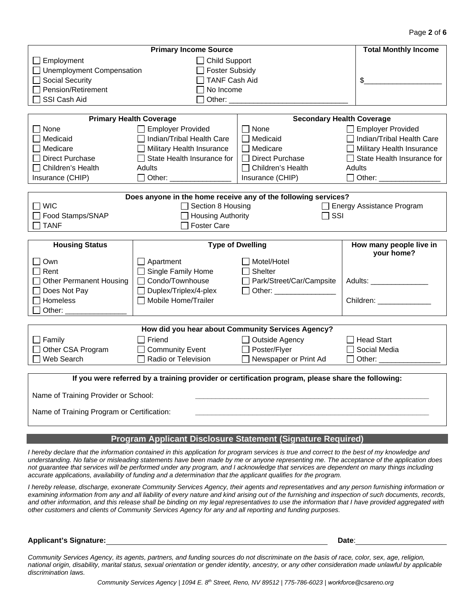| <b>Primary Income Source</b>                         |                                                                                                                                                                                                                                                                                                                                                                                                  |                                                                                                                                                                                                                                                                                                                                                                                                                                                                                                                                                                                                                                                    |  |  |  |  |  |  |  |  |
|------------------------------------------------------|--------------------------------------------------------------------------------------------------------------------------------------------------------------------------------------------------------------------------------------------------------------------------------------------------------------------------------------------------------------------------------------------------|----------------------------------------------------------------------------------------------------------------------------------------------------------------------------------------------------------------------------------------------------------------------------------------------------------------------------------------------------------------------------------------------------------------------------------------------------------------------------------------------------------------------------------------------------------------------------------------------------------------------------------------------------|--|--|--|--|--|--|--|--|
| $\Box$ Employment<br>$\Box$ Child Support            |                                                                                                                                                                                                                                                                                                                                                                                                  |                                                                                                                                                                                                                                                                                                                                                                                                                                                                                                                                                                                                                                                    |  |  |  |  |  |  |  |  |
| □ Unemployment Compensation<br><b>Foster Subsidy</b> |                                                                                                                                                                                                                                                                                                                                                                                                  |                                                                                                                                                                                                                                                                                                                                                                                                                                                                                                                                                                                                                                                    |  |  |  |  |  |  |  |  |
| <b>TANF Cash Aid</b><br><b>Social Security</b>       |                                                                                                                                                                                                                                                                                                                                                                                                  |                                                                                                                                                                                                                                                                                                                                                                                                                                                                                                                                                                                                                                                    |  |  |  |  |  |  |  |  |
| Pension/Retirement<br>No Income                      |                                                                                                                                                                                                                                                                                                                                                                                                  |                                                                                                                                                                                                                                                                                                                                                                                                                                                                                                                                                                                                                                                    |  |  |  |  |  |  |  |  |
| SSI Cash Aid<br>Other:                               |                                                                                                                                                                                                                                                                                                                                                                                                  |                                                                                                                                                                                                                                                                                                                                                                                                                                                                                                                                                                                                                                                    |  |  |  |  |  |  |  |  |
|                                                      |                                                                                                                                                                                                                                                                                                                                                                                                  |                                                                                                                                                                                                                                                                                                                                                                                                                                                                                                                                                                                                                                                    |  |  |  |  |  |  |  |  |
|                                                      |                                                                                                                                                                                                                                                                                                                                                                                                  |                                                                                                                                                                                                                                                                                                                                                                                                                                                                                                                                                                                                                                                    |  |  |  |  |  |  |  |  |
|                                                      |                                                                                                                                                                                                                                                                                                                                                                                                  | $\Box$ Employer Provided                                                                                                                                                                                                                                                                                                                                                                                                                                                                                                                                                                                                                           |  |  |  |  |  |  |  |  |
|                                                      |                                                                                                                                                                                                                                                                                                                                                                                                  | □ Indian/Tribal Health Care                                                                                                                                                                                                                                                                                                                                                                                                                                                                                                                                                                                                                        |  |  |  |  |  |  |  |  |
|                                                      |                                                                                                                                                                                                                                                                                                                                                                                                  | $\Box$ Military Health Insurance                                                                                                                                                                                                                                                                                                                                                                                                                                                                                                                                                                                                                   |  |  |  |  |  |  |  |  |
|                                                      |                                                                                                                                                                                                                                                                                                                                                                                                  | $\Box$ State Health Insurance for                                                                                                                                                                                                                                                                                                                                                                                                                                                                                                                                                                                                                  |  |  |  |  |  |  |  |  |
| <b>Adults</b>                                        |                                                                                                                                                                                                                                                                                                                                                                                                  | Adults                                                                                                                                                                                                                                                                                                                                                                                                                                                                                                                                                                                                                                             |  |  |  |  |  |  |  |  |
|                                                      |                                                                                                                                                                                                                                                                                                                                                                                                  | $\Box$ Other:                                                                                                                                                                                                                                                                                                                                                                                                                                                                                                                                                                                                                                      |  |  |  |  |  |  |  |  |
|                                                      |                                                                                                                                                                                                                                                                                                                                                                                                  |                                                                                                                                                                                                                                                                                                                                                                                                                                                                                                                                                                                                                                                    |  |  |  |  |  |  |  |  |
|                                                      |                                                                                                                                                                                                                                                                                                                                                                                                  |                                                                                                                                                                                                                                                                                                                                                                                                                                                                                                                                                                                                                                                    |  |  |  |  |  |  |  |  |
|                                                      |                                                                                                                                                                                                                                                                                                                                                                                                  | $\Box$ Energy Assistance Program                                                                                                                                                                                                                                                                                                                                                                                                                                                                                                                                                                                                                   |  |  |  |  |  |  |  |  |
| Food Stamps/SNAP<br>$\sqcap$ TANF                    |                                                                                                                                                                                                                                                                                                                                                                                                  |                                                                                                                                                                                                                                                                                                                                                                                                                                                                                                                                                                                                                                                    |  |  |  |  |  |  |  |  |
|                                                      |                                                                                                                                                                                                                                                                                                                                                                                                  |                                                                                                                                                                                                                                                                                                                                                                                                                                                                                                                                                                                                                                                    |  |  |  |  |  |  |  |  |
|                                                      |                                                                                                                                                                                                                                                                                                                                                                                                  | How many people live in                                                                                                                                                                                                                                                                                                                                                                                                                                                                                                                                                                                                                            |  |  |  |  |  |  |  |  |
|                                                      |                                                                                                                                                                                                                                                                                                                                                                                                  | your home?                                                                                                                                                                                                                                                                                                                                                                                                                                                                                                                                                                                                                                         |  |  |  |  |  |  |  |  |
|                                                      |                                                                                                                                                                                                                                                                                                                                                                                                  |                                                                                                                                                                                                                                                                                                                                                                                                                                                                                                                                                                                                                                                    |  |  |  |  |  |  |  |  |
|                                                      |                                                                                                                                                                                                                                                                                                                                                                                                  |                                                                                                                                                                                                                                                                                                                                                                                                                                                                                                                                                                                                                                                    |  |  |  |  |  |  |  |  |
|                                                      |                                                                                                                                                                                                                                                                                                                                                                                                  | Adults: Adults: Adults: Adults: Adults: Adults: Adults: Adults: Adults: Adults: Adults: Adults: Adults: Adults: Adults: Adults: Adults: Adults: Adults: Adults: Adults: Adults: Adults: Adults: Adults: Adults: Adults: Adults                                                                                                                                                                                                                                                                                                                                                                                                                     |  |  |  |  |  |  |  |  |
|                                                      |                                                                                                                                                                                                                                                                                                                                                                                                  |                                                                                                                                                                                                                                                                                                                                                                                                                                                                                                                                                                                                                                                    |  |  |  |  |  |  |  |  |
|                                                      |                                                                                                                                                                                                                                                                                                                                                                                                  | Children: ______________                                                                                                                                                                                                                                                                                                                                                                                                                                                                                                                                                                                                                           |  |  |  |  |  |  |  |  |
|                                                      |                                                                                                                                                                                                                                                                                                                                                                                                  |                                                                                                                                                                                                                                                                                                                                                                                                                                                                                                                                                                                                                                                    |  |  |  |  |  |  |  |  |
|                                                      |                                                                                                                                                                                                                                                                                                                                                                                                  |                                                                                                                                                                                                                                                                                                                                                                                                                                                                                                                                                                                                                                                    |  |  |  |  |  |  |  |  |
|                                                      |                                                                                                                                                                                                                                                                                                                                                                                                  |                                                                                                                                                                                                                                                                                                                                                                                                                                                                                                                                                                                                                                                    |  |  |  |  |  |  |  |  |
|                                                      |                                                                                                                                                                                                                                                                                                                                                                                                  | $\Box$ Head Start<br>Social Media                                                                                                                                                                                                                                                                                                                                                                                                                                                                                                                                                                                                                  |  |  |  |  |  |  |  |  |
| Other CSA Program<br>Web Search                      |                                                                                                                                                                                                                                                                                                                                                                                                  |                                                                                                                                                                                                                                                                                                                                                                                                                                                                                                                                                                                                                                                    |  |  |  |  |  |  |  |  |
|                                                      |                                                                                                                                                                                                                                                                                                                                                                                                  | □ Other: _________                                                                                                                                                                                                                                                                                                                                                                                                                                                                                                                                                                                                                                 |  |  |  |  |  |  |  |  |
|                                                      |                                                                                                                                                                                                                                                                                                                                                                                                  |                                                                                                                                                                                                                                                                                                                                                                                                                                                                                                                                                                                                                                                    |  |  |  |  |  |  |  |  |
|                                                      |                                                                                                                                                                                                                                                                                                                                                                                                  |                                                                                                                                                                                                                                                                                                                                                                                                                                                                                                                                                                                                                                                    |  |  |  |  |  |  |  |  |
| Name of Training Provider or School:                 |                                                                                                                                                                                                                                                                                                                                                                                                  |                                                                                                                                                                                                                                                                                                                                                                                                                                                                                                                                                                                                                                                    |  |  |  |  |  |  |  |  |
| Name of Training Program or Certification:           |                                                                                                                                                                                                                                                                                                                                                                                                  |                                                                                                                                                                                                                                                                                                                                                                                                                                                                                                                                                                                                                                                    |  |  |  |  |  |  |  |  |
|                                                      | <b>Primary Health Coverage</b><br>Employer Provided<br>□ Indian/Tribal Health Care<br>$\Box$ Military Health Insurance<br>$\Box$ State Health Insurance for<br>□ Other: ___________<br>□ Foster Care<br>$\Box$ Apartment<br>$\Box$ Single Family Home<br>□ Condo/Townhouse<br>□ Duplex/Triplex/4-plex<br>Mobile Home/Trailer<br>$\sqcap$ Friend<br><b>Community Event</b><br>Radio or Television | <b>Secondary Health Coverage</b><br>$\Box$ None<br>$\Box$ Medicaid<br>$\Box$ Medicare<br>□ Direct Purchase<br>$\Box$ Children's Health<br>Insurance (CHIP)<br>Does anyone in the home receive any of the following services?<br>Section 8 Housing<br>$\Box$ Housing Authority<br>$\Box$ SSI<br><b>Type of Dwelling</b><br>    Motel/Hotel<br>$\Box$ Shelter<br>□ Park/Street/Car/Campsite<br>□ Other: _________________<br>How did you hear about Community Services Agency?<br>□ Outside Agency<br>□ Poster/Flyer<br>□ Newspaper or Print Ad<br>If you were referred by a training provider or certification program, please share the following: |  |  |  |  |  |  |  |  |

#### **Program Applicant Disclosure Statement (Signature Required)**

*I hereby declare that the information contained in this application for program services is true and correct to the best of my knowledge and understanding. No false or misleading statements have been made by me or anyone representing me. The acceptance of the application does not guarantee that services will be performed under any program, and I acknowledge that services are dependent on many things including accurate applications, availability of funding and a determination that the applicant qualifies for the program.* 

*I hereby release, discharge, exonerate Community Services Agency, their agents and representatives and any person furnishing information or*  examining information from any and all liability of every nature and kind arising out of the furnishing and inspection of such documents, records, *and other information, and this release shall be binding on my legal representatives to use the information that I have provided aggregated with other customers and clients of Community Services Agency for any and all reporting and funding purposes.* 

#### **Applicant's Signature: Date**:

*Community Services Agency, its agents, partners, and funding sources do not discriminate on the basis of race, color, sex, age, religion, national origin, disability, marital status, sexual orientation or gender identity, ancestry, or any other consideration made unlawful by applicable discrimination laws.*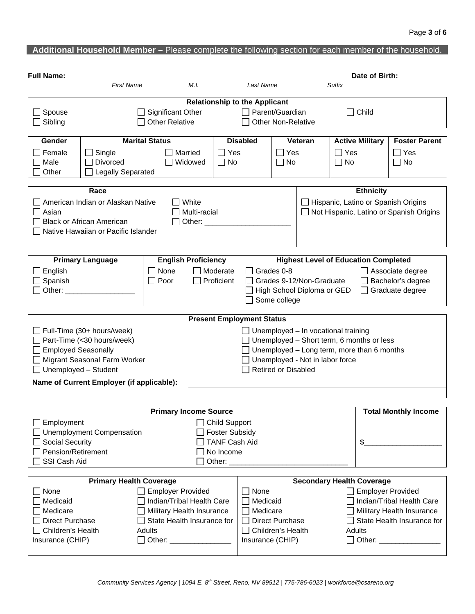| <b>Full Name:</b>                 |                                                                               |                              |                                               |                                                          |                                                                                                       | Date of Birth:                              |                   |                            |                                         |  |
|-----------------------------------|-------------------------------------------------------------------------------|------------------------------|-----------------------------------------------|----------------------------------------------------------|-------------------------------------------------------------------------------------------------------|---------------------------------------------|-------------------|----------------------------|-----------------------------------------|--|
|                                   | <b>First Name</b>                                                             | M.I.                         |                                               | Last Name                                                |                                                                                                       |                                             | Suffix            |                            |                                         |  |
|                                   |                                                                               |                              | <b>Relationship to the Applicant</b>          |                                                          |                                                                                                       |                                             |                   |                            |                                         |  |
| Spouse                            |                                                                               | Significant Other            | □ Parent/Guardian                             |                                                          |                                                                                                       |                                             | Child             |                            |                                         |  |
| Sibling                           | <b>Other Relative</b><br><b>Other Non-Relative</b>                            |                              |                                               |                                                          |                                                                                                       |                                             |                   |                            |                                         |  |
| Gender                            | <b>Marital Status</b><br><b>Disabled</b><br>Veteran<br><b>Active Military</b> |                              |                                               |                                                          |                                                                                                       |                                             |                   |                            | <b>Foster Parent</b>                    |  |
| Female                            | Single<br>Married                                                             |                              |                                               |                                                          | Yes                                                                                                   |                                             | Yes               |                            | ∣ Yes                                   |  |
| Male                              | Divorced                                                                      | Widowed                      | No                                            |                                                          | No                                                                                                    |                                             | $\Box$ No         |                            | No                                      |  |
| Other<br><b>Legally Separated</b> |                                                                               |                              |                                               |                                                          |                                                                                                       |                                             |                   |                            |                                         |  |
|                                   | <b>Ethnicity</b><br>Race                                                      |                              |                                               |                                                          |                                                                                                       |                                             |                   |                            |                                         |  |
|                                   | American Indian or Alaskan Native                                             | White                        |                                               |                                                          |                                                                                                       |                                             |                   |                            | Hispanic, Latino or Spanish Origins     |  |
| Asian                             |                                                                               |                              | Multi-racial                                  |                                                          |                                                                                                       |                                             |                   |                            | Not Hispanic, Latino or Spanish Origins |  |
|                                   | <b>Black or African American</b>                                              |                              | Other:                                        |                                                          |                                                                                                       |                                             |                   |                            |                                         |  |
|                                   | Native Hawaiian or Pacific Islander                                           |                              |                                               |                                                          |                                                                                                       |                                             |                   |                            |                                         |  |
|                                   |                                                                               |                              |                                               |                                                          |                                                                                                       |                                             |                   |                            |                                         |  |
|                                   | <b>Primary Language</b>                                                       | <b>English Proficiency</b>   |                                               |                                                          |                                                                                                       | <b>Highest Level of Education Completed</b> |                   |                            |                                         |  |
| English                           |                                                                               | None                         | <b>□</b> Moderate                             | L                                                        | Grades 0-8                                                                                            |                                             |                   | Associate degree           |                                         |  |
| Spanish                           |                                                                               | Poor                         | Proficient                                    |                                                          |                                                                                                       | Grades 9-12/Non-Graduate                    | Bachelor's degree |                            |                                         |  |
| Other:                            |                                                                               |                              | High School Diploma or GED<br>Graduate degree |                                                          |                                                                                                       |                                             |                   |                            |                                         |  |
|                                   |                                                                               |                              |                                               |                                                          | Some college                                                                                          |                                             |                   |                            |                                         |  |
|                                   |                                                                               |                              | <b>Present Employment Status</b>              |                                                          |                                                                                                       |                                             |                   |                            |                                         |  |
|                                   | $\Box$ Full-Time (30+ hours/week)                                             |                              |                                               |                                                          |                                                                                                       | $\Box$ Unemployed – In vocational training  |                   |                            |                                         |  |
|                                   | Part-Time (<30 hours/week)                                                    |                              |                                               |                                                          | $\Box$ Unemployed – Short term, 6 months or less<br>$\Box$ Unemployed – Long term, more than 6 months |                                             |                   |                            |                                         |  |
| □ Employed Seasonally             |                                                                               |                              |                                               |                                                          |                                                                                                       |                                             |                   |                            |                                         |  |
|                                   | Migrant Seasonal Farm Worker                                                  |                              |                                               |                                                          |                                                                                                       | $\Box$ Unemployed - Not in labor force      |                   |                            |                                         |  |
| $\Box$ Unemployed - Student       |                                                                               |                              |                                               |                                                          | <b>Retired or Disabled</b>                                                                            |                                             |                   |                            |                                         |  |
|                                   | Name of Current Employer (if applicable):                                     |                              |                                               |                                                          |                                                                                                       |                                             |                   |                            |                                         |  |
|                                   |                                                                               |                              |                                               |                                                          |                                                                                                       |                                             |                   |                            |                                         |  |
|                                   |                                                                               | <b>Primary Income Source</b> |                                               |                                                          |                                                                                                       |                                             |                   |                            | <b>Total Monthly Income</b>             |  |
| Employment                        |                                                                               |                              | <b>Child Support</b>                          |                                                          |                                                                                                       |                                             |                   |                            |                                         |  |
|                                   | <b>Unemployment Compensation</b>                                              |                              | <b>Foster Subsidy</b>                         |                                                          |                                                                                                       |                                             |                   |                            |                                         |  |
| <b>Social Security</b>            |                                                                               |                              | <b>TANF Cash Aid</b>                          | $\frac{1}{2}$                                            |                                                                                                       |                                             |                   |                            |                                         |  |
| Pension/Retirement                |                                                                               |                              | No Income                                     |                                                          |                                                                                                       |                                             |                   |                            |                                         |  |
| SSI Cash Aid                      |                                                                               |                              | Other: $\_\_$                                 |                                                          |                                                                                                       |                                             |                   |                            |                                         |  |
|                                   | <b>Primary Health Coverage</b>                                                |                              |                                               |                                                          |                                                                                                       | <b>Secondary Health Coverage</b>            |                   |                            |                                         |  |
| None                              | <b>Employer Provided</b>                                                      |                              |                                               | None                                                     |                                                                                                       |                                             |                   | <b>Employer Provided</b>   |                                         |  |
| Medicaid                          | Indian/Tribal Health Care                                                     |                              |                                               | Medicaid                                                 |                                                                                                       |                                             |                   | Indian/Tribal Health Care  |                                         |  |
| Medicare                          |                                                                               | Military Health Insurance    |                                               | Medicare                                                 |                                                                                                       |                                             |                   | Military Health Insurance  |                                         |  |
| <b>Direct Purchase</b>            |                                                                               | State Health Insurance for   |                                               | <b>Direct Purchase</b>                                   |                                                                                                       |                                             |                   | State Health Insurance for |                                         |  |
| Children's Health                 |                                                                               | Adults                       |                                               | $\Box$ Children's Health<br>Adults                       |                                                                                                       |                                             |                   |                            |                                         |  |
| Insurance (CHIP)                  |                                                                               | □ Other: _________________   |                                               | Insurance (CHIP)<br>Other: New York 1999<br>$\mathsf{I}$ |                                                                                                       |                                             |                   |                            |                                         |  |
|                                   |                                                                               |                              |                                               |                                                          |                                                                                                       |                                             |                   |                            |                                         |  |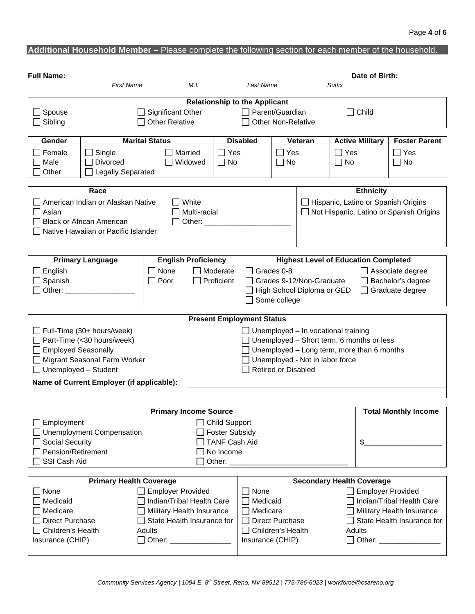| <b>Full Name:</b>                                                  |                                                                               |                                  |                                               |                                                                                                                                                                                                                                                    |                            |                                            | Date of Birth:                                                                                        |                           |                                                                                |  |
|--------------------------------------------------------------------|-------------------------------------------------------------------------------|----------------------------------|-----------------------------------------------|----------------------------------------------------------------------------------------------------------------------------------------------------------------------------------------------------------------------------------------------------|----------------------------|--------------------------------------------|-------------------------------------------------------------------------------------------------------|---------------------------|--------------------------------------------------------------------------------|--|
|                                                                    | <b>First Name</b>                                                             | M.I.<br>Last Name                |                                               |                                                                                                                                                                                                                                                    |                            |                                            | <b>Suffix</b>                                                                                         |                           |                                                                                |  |
|                                                                    |                                                                               |                                  | <b>Relationship to the Applicant</b>          |                                                                                                                                                                                                                                                    |                            |                                            |                                                                                                       |                           |                                                                                |  |
| Spouse                                                             |                                                                               | Significant Other                | $\Box$ Parent/Guardian                        |                                                                                                                                                                                                                                                    |                            |                                            | Child                                                                                                 |                           |                                                                                |  |
| Sibling                                                            |                                                                               |                                  | <b>Other Non-Relative</b>                     |                                                                                                                                                                                                                                                    |                            |                                            |                                                                                                       |                           |                                                                                |  |
| Gender                                                             | <b>Marital Status</b><br><b>Disabled</b><br>Veteran<br><b>Active Military</b> |                                  |                                               |                                                                                                                                                                                                                                                    |                            |                                            |                                                                                                       |                           | <b>Foster Parent</b>                                                           |  |
| Female                                                             | Yes<br>$\Box$ Single<br>Married                                               |                                  |                                               |                                                                                                                                                                                                                                                    | $\sqcap$ Yes               |                                            | $\Box$ Yes                                                                                            |                           | $\Box$ Yes                                                                     |  |
| Male                                                               | Divorced<br>Widowed                                                           |                                  |                                               | <b>No</b><br>$\Box$ No                                                                                                                                                                                                                             |                            |                                            | $\Box$ No<br>$\Box$ No                                                                                |                           |                                                                                |  |
| Other                                                              | <b>Legally Separated</b>                                                      |                                  |                                               |                                                                                                                                                                                                                                                    |                            |                                            |                                                                                                       |                           |                                                                                |  |
| <b>Ethnicity</b><br>Race                                           |                                                                               |                                  |                                               |                                                                                                                                                                                                                                                    |                            |                                            |                                                                                                       |                           |                                                                                |  |
|                                                                    | American Indian or Alaskan Native                                             | White                            |                                               |                                                                                                                                                                                                                                                    |                            |                                            |                                                                                                       |                           |                                                                                |  |
| Asian                                                              |                                                                               |                                  | Multi-racial                                  |                                                                                                                                                                                                                                                    |                            |                                            |                                                                                                       |                           | Hispanic, Latino or Spanish Origins<br>Not Hispanic, Latino or Spanish Origins |  |
|                                                                    | <b>Black or African American</b>                                              |                                  | Other: ___________                            |                                                                                                                                                                                                                                                    |                            |                                            |                                                                                                       |                           |                                                                                |  |
|                                                                    | Native Hawaiian or Pacific Islander                                           |                                  |                                               |                                                                                                                                                                                                                                                    |                            |                                            |                                                                                                       |                           |                                                                                |  |
|                                                                    |                                                                               |                                  |                                               |                                                                                                                                                                                                                                                    |                            |                                            |                                                                                                       |                           |                                                                                |  |
|                                                                    | <b>Primary Language</b>                                                       | <b>English Proficiency</b>       |                                               |                                                                                                                                                                                                                                                    |                            |                                            |                                                                                                       |                           |                                                                                |  |
| English                                                            |                                                                               | None                             | $\Box$ Moderate                               | <b>Highest Level of Education Completed</b><br>Grades 0-8<br>$\Box$ Associate degree                                                                                                                                                               |                            |                                            |                                                                                                       |                           |                                                                                |  |
| Spanish                                                            |                                                                               | Poor<br>$\overline{\phantom{a}}$ | Proficient                                    |                                                                                                                                                                                                                                                    |                            | Grades 9-12/Non-Graduate                   |                                                                                                       | Bachelor's degree         |                                                                                |  |
| Other:                                                             |                                                                               |                                  |                                               | High School Diploma or GED<br>Graduate degree                                                                                                                                                                                                      |                            |                                            |                                                                                                       |                           |                                                                                |  |
|                                                                    |                                                                               |                                  |                                               | Some college                                                                                                                                                                                                                                       |                            |                                            |                                                                                                       |                           |                                                                                |  |
|                                                                    |                                                                               |                                  |                                               |                                                                                                                                                                                                                                                    |                            |                                            |                                                                                                       |                           |                                                                                |  |
|                                                                    |                                                                               |                                  | <b>Present Employment Status</b>              |                                                                                                                                                                                                                                                    |                            |                                            |                                                                                                       |                           |                                                                                |  |
|                                                                    | Full-Time (30+ hours/week)                                                    |                                  |                                               |                                                                                                                                                                                                                                                    |                            | $\Box$ Unemployed – In vocational training |                                                                                                       |                           |                                                                                |  |
|                                                                    | Part-Time (<30 hours/week)                                                    |                                  |                                               |                                                                                                                                                                                                                                                    |                            |                                            | $\Box$ Unemployed – Short term, 6 months or less<br>$\Box$ Unemployed – Long term, more than 6 months |                           |                                                                                |  |
| <b>Employed Seasonally</b>                                         |                                                                               |                                  |                                               |                                                                                                                                                                                                                                                    |                            |                                            |                                                                                                       |                           |                                                                                |  |
| $\Box$ Unemployed - Student                                        | Migrant Seasonal Farm Worker                                                  |                                  |                                               |                                                                                                                                                                                                                                                    | <b>Retired or Disabled</b> | $\Box$ Unemployed - Not in labor force     |                                                                                                       |                           |                                                                                |  |
|                                                                    | Name of Current Employer (if applicable):                                     |                                  |                                               |                                                                                                                                                                                                                                                    |                            |                                            |                                                                                                       |                           |                                                                                |  |
|                                                                    |                                                                               |                                  |                                               |                                                                                                                                                                                                                                                    |                            |                                            |                                                                                                       |                           |                                                                                |  |
|                                                                    |                                                                               |                                  |                                               |                                                                                                                                                                                                                                                    |                            |                                            |                                                                                                       |                           |                                                                                |  |
|                                                                    |                                                                               | <b>Primary Income Source</b>     |                                               |                                                                                                                                                                                                                                                    |                            |                                            |                                                                                                       |                           | <b>Total Monthly Income</b>                                                    |  |
| Employment                                                         |                                                                               |                                  | <b>Child Support</b>                          |                                                                                                                                                                                                                                                    |                            |                                            |                                                                                                       |                           |                                                                                |  |
|                                                                    | <b>Unemployment Compensation</b>                                              |                                  | <b>Foster Subsidy</b><br><b>TANF Cash Aid</b> |                                                                                                                                                                                                                                                    |                            |                                            |                                                                                                       |                           |                                                                                |  |
| Social Security<br>Pension/Retirement                              |                                                                               |                                  |                                               | \$                                                                                                                                                                                                                                                 |                            |                                            |                                                                                                       |                           |                                                                                |  |
| SSI Cash Aid                                                       |                                                                               |                                  | No Income<br>Other: $\_\_$                    |                                                                                                                                                                                                                                                    |                            |                                            |                                                                                                       |                           |                                                                                |  |
|                                                                    |                                                                               |                                  |                                               |                                                                                                                                                                                                                                                    |                            |                                            |                                                                                                       |                           |                                                                                |  |
| <b>Primary Health Coverage</b><br><b>Secondary Health Coverage</b> |                                                                               |                                  |                                               |                                                                                                                                                                                                                                                    |                            |                                            |                                                                                                       |                           |                                                                                |  |
| None                                                               |                                                                               | <b>Employer Provided</b>         |                                               | None                                                                                                                                                                                                                                               |                            |                                            | <b>Employer Provided</b>                                                                              |                           |                                                                                |  |
| Medicaid                                                           |                                                                               | Indian/Tribal Health Care        |                                               | Medicaid                                                                                                                                                                                                                                           |                            |                                            |                                                                                                       | Indian/Tribal Health Care |                                                                                |  |
| Medicare                                                           |                                                                               | Military Health Insurance        |                                               | Medicare                                                                                                                                                                                                                                           |                            |                                            |                                                                                                       |                           | Military Health Insurance                                                      |  |
| <b>Direct Purchase</b>                                             |                                                                               | State Health Insurance for       |                                               |                                                                                                                                                                                                                                                    | Direct Purchase            |                                            |                                                                                                       |                           | State Health Insurance for                                                     |  |
| Children's Health                                                  |                                                                               | Adults                           |                                               | Children's Health<br>Adults                                                                                                                                                                                                                        |                            |                                            |                                                                                                       |                           |                                                                                |  |
| Insurance (CHIP)                                                   |                                                                               |                                  |                                               | Insurance (CHIP)<br>Other: and the contract of the contract of the contract of the contract of the contract of the contract of the contract of the contract of the contract of the contract of the contract of the contract of the contract of the |                            |                                            |                                                                                                       |                           |                                                                                |  |
|                                                                    |                                                                               |                                  |                                               |                                                                                                                                                                                                                                                    |                            |                                            |                                                                                                       |                           |                                                                                |  |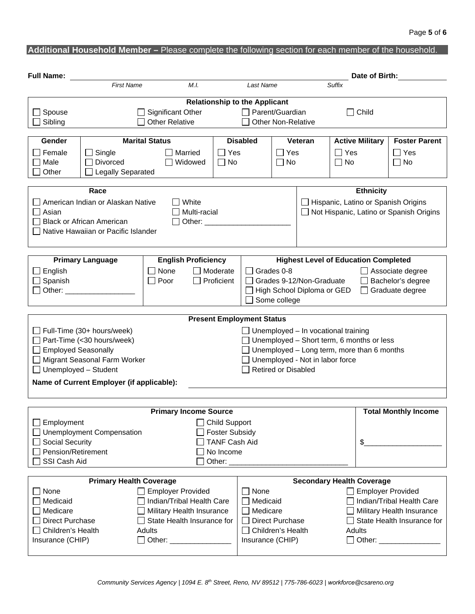| <b>Full Name:</b>                 |                                                    |                              |                                      |                                                    |                     |                                                   | Date of Birth:          |                            |                                         |  |
|-----------------------------------|----------------------------------------------------|------------------------------|--------------------------------------|----------------------------------------------------|---------------------|---------------------------------------------------|-------------------------|----------------------------|-----------------------------------------|--|
|                                   | <b>First Name</b>                                  | M.L.                         | Last Name                            |                                                    |                     |                                                   | Suffix                  |                            |                                         |  |
|                                   |                                                    |                              | <b>Relationship to the Applicant</b> |                                                    |                     |                                                   |                         |                            |                                         |  |
| Spouse                            |                                                    | Significant Other            | $\Box$ Parent/Guardian               |                                                    |                     |                                                   | $\Box$ Child            |                            |                                         |  |
| Sibling                           | <b>Other Relative</b><br><b>Other Non-Relative</b> |                              |                                      |                                                    |                     |                                                   |                         |                            |                                         |  |
| Gender                            | <b>Marital Status</b>                              |                              | <b>Disabled</b><br>Veteran           |                                                    |                     |                                                   | <b>Active Military</b>  | <b>Foster Parent</b>       |                                         |  |
| Female                            | Yes<br>Single<br>Married                           |                              |                                      |                                                    | Yes<br>$\Box$ Yes   |                                                   |                         |                            | $\Box$ Yes                              |  |
| Male                              | <b>Divorced</b>                                    | Widowed                      | $\Box$ No                            |                                                    | $\Box$ No           |                                                   | $\Box$ No               |                            | $\Box$ No                               |  |
| Other<br><b>Legally Separated</b> |                                                    |                              |                                      |                                                    |                     |                                                   |                         |                            |                                         |  |
| <b>Ethnicity</b><br>Race          |                                                    |                              |                                      |                                                    |                     |                                                   |                         |                            |                                         |  |
|                                   | American Indian or Alaskan Native                  | White                        |                                      |                                                    |                     | $\mathsf{L}$                                      |                         |                            | Hispanic, Latino or Spanish Origins     |  |
| Asian                             |                                                    | Multi-racial                 |                                      |                                                    |                     | $\perp$                                           |                         |                            | Not Hispanic, Latino or Spanish Origins |  |
|                                   | <b>Black or African American</b>                   | Other: $\_\_$                |                                      |                                                    |                     |                                                   |                         |                            |                                         |  |
|                                   | Native Hawaiian or Pacific Islander                |                              |                                      |                                                    |                     |                                                   |                         |                            |                                         |  |
|                                   |                                                    |                              |                                      |                                                    |                     |                                                   |                         |                            |                                         |  |
|                                   | <b>Primary Language</b>                            | <b>English Proficiency</b>   |                                      |                                                    |                     | <b>Highest Level of Education Completed</b>       |                         |                            |                                         |  |
| English                           |                                                    | None                         | $\Box$ Moderate                      |                                                    | Grades 0-8          |                                                   | $\Box$ Associate degree |                            |                                         |  |
| Spanish                           |                                                    | Poor                         | Proficient                           |                                                    |                     | Grades 9-12/Non-Graduate                          | Bachelor's degree       |                            |                                         |  |
| Other:                            |                                                    |                              |                                      | High School Diploma or GED<br>Graduate degree      |                     |                                                   |                         |                            |                                         |  |
|                                   |                                                    |                              |                                      |                                                    | Some college        |                                                   |                         |                            |                                         |  |
|                                   |                                                    |                              | <b>Present Employment Status</b>     |                                                    |                     |                                                   |                         |                            |                                         |  |
|                                   | $\Box$ Full-Time (30+ hours/week)                  |                              |                                      |                                                    |                     | $\Box$ Unemployed – In vocational training        |                         |                            |                                         |  |
|                                   | Part-Time (< 30 hours/week)                        |                              |                                      |                                                    |                     | $\Box$ Unemployed – Short term, 6 months or less  |                         |                            |                                         |  |
| □ Employed Seasonally             |                                                    |                              |                                      |                                                    |                     | $\Box$ Unemployed – Long term, more than 6 months |                         |                            |                                         |  |
|                                   | Migrant Seasonal Farm Worker                       |                              |                                      |                                                    |                     | $\Box$ Unemployed - Not in labor force            |                         |                            |                                         |  |
| $\Box$ Unemployed - Student       |                                                    |                              |                                      |                                                    | Retired or Disabled |                                                   |                         |                            |                                         |  |
|                                   | Name of Current Employer (if applicable):          |                              |                                      |                                                    |                     |                                                   |                         |                            |                                         |  |
|                                   |                                                    |                              |                                      |                                                    |                     |                                                   |                         |                            |                                         |  |
|                                   |                                                    | <b>Primary Income Source</b> |                                      |                                                    |                     |                                                   |                         |                            | <b>Total Monthly Income</b>             |  |
| Employment                        |                                                    |                              | <b>Child Support</b>                 |                                                    |                     |                                                   |                         |                            |                                         |  |
|                                   | <b>Unemployment Compensation</b>                   |                              | <b>Foster Subsidy</b>                |                                                    |                     |                                                   |                         |                            |                                         |  |
| Social Security                   |                                                    |                              | <b>TANF Cash Aid</b>                 | \$                                                 |                     |                                                   |                         |                            |                                         |  |
| Pension/Retirement                |                                                    |                              | No Income                            |                                                    |                     |                                                   |                         |                            |                                         |  |
| SSI Cash Aid                      |                                                    |                              | Other:                               |                                                    |                     |                                                   |                         |                            |                                         |  |
|                                   | <b>Primary Health Coverage</b>                     |                              |                                      |                                                    |                     | <b>Secondary Health Coverage</b>                  |                         |                            |                                         |  |
| None                              | Employer Provided                                  |                              |                                      | $\Box$ None                                        |                     |                                                   |                         | Employer Provided          |                                         |  |
| Medicaid                          |                                                    | Indian/Tribal Health Care    |                                      | Medicaid                                           |                     |                                                   |                         | Indian/Tribal Health Care  |                                         |  |
| Medicare                          |                                                    | Military Health Insurance    |                                      | Medicare                                           |                     |                                                   |                         |                            | $\Box$ Military Health Insurance        |  |
| <b>Direct Purchase</b>            |                                                    | State Health Insurance for   |                                      |                                                    | Direct Purchase     |                                                   |                         | State Health Insurance for |                                         |  |
| Children's Health                 |                                                    | Adults                       |                                      | Children's Health<br>Adults                        |                     |                                                   |                         |                            |                                         |  |
| Insurance (CHIP)                  |                                                    | Other: _________________     |                                      | Other: William Products<br>Insurance (CHIP)<br>l 1 |                     |                                                   |                         |                            |                                         |  |
|                                   |                                                    |                              |                                      |                                                    |                     |                                                   |                         |                            |                                         |  |